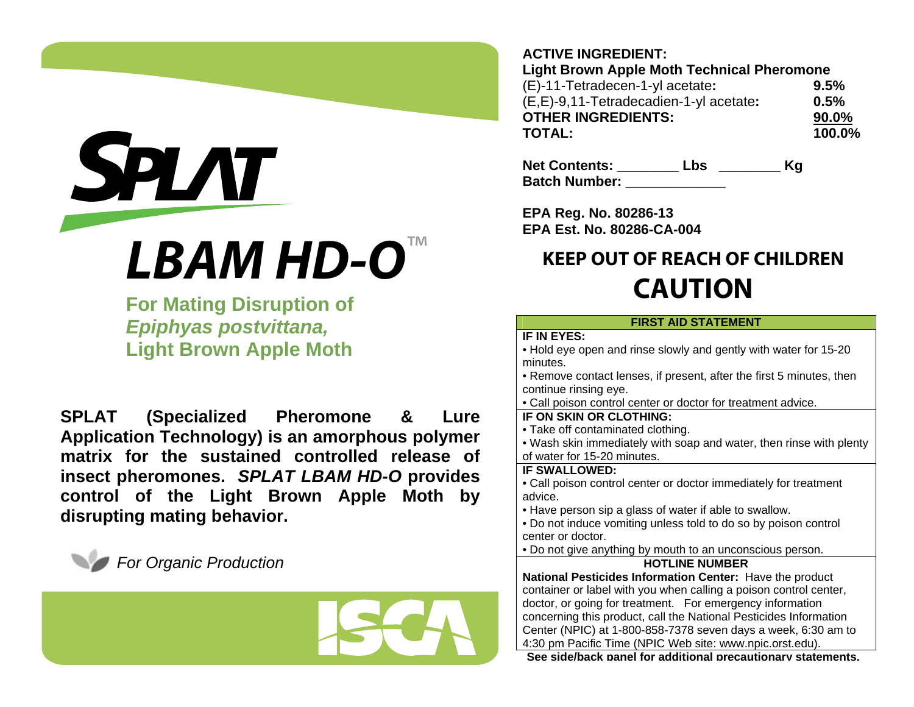# **SPLAT** ™**LBAM HD-O**

**For Mating Disruption of**  *Epiphyas postvittana,* **Light Brown Apple Moth** 

**SPLAT (Specialized Pheromone & Lure Application Technology) is an amorphous polymer matrix for the sustained controlled release of insect pheromones.** *SPLAT LBAM HD-O* **provides control of the Light Brown Apple Moth by disrupting mating behavior.** 





### **ACTIVE INGREDIENT:**

**Light Brown Apple Moth Technical Pheromone**  (E)-11-Tetradecen-1-yl acetate**: 9.5%**  (E,E)-9,11-Tetradecadien-1-yl acetate**: 0.5% OTHER INGREDIENTS: 90.0%TOTAL: 100.0%** 

**Net Contents: \_\_\_\_\_\_\_\_ Lbs \_\_\_\_\_\_\_\_ Kg Batch Number: CONSIDER** 

**EPA Reg. No. 80286-13 EPA Est. No. 80286-CA-004**

## **KEEP OUT OF REACH OF CHILDREN CAUTION**

#### **FIRST AID STATEMENT**

#### **IF IN EYES:**

• Hold eye open and rinse slowly and gently with water for 15-20 minutes.

• Remove contact lenses, if present, after the first 5 minutes, then continue rinsing eye.

• Call poison control center or doctor for treatment advice.

#### **IF ON SKIN OR CLOTHING:**

• Take off contaminated clothing.

• Wash skin immediately with soap and water, then rinse with plenty of water for 15-20 minutes.

#### **IF SWALLOWED:**

• Call poison control center or doctor immediately for treatment advice.

• Have person sip a glass of water if able to swallow.

• Do not induce vomiting unless told to do so by poison control center or doctor.

• Do not give anything by mouth to an unconscious person.

#### **HOTLINE NUMBER**

**National Pesticides Information Center:** Have the product container or label with you when calling a poison control center, doctor, or going for treatment. For emergency information concerning this product, call the National Pesticides Information Center (NPIC) at 1-800-858-7378 seven days a week, 6:30 am to 4:30 pm Pacific Time (NPIC Web site: www.npic.orst.edu).

**Seeside/back panel for additionalprecautionar y statements.**